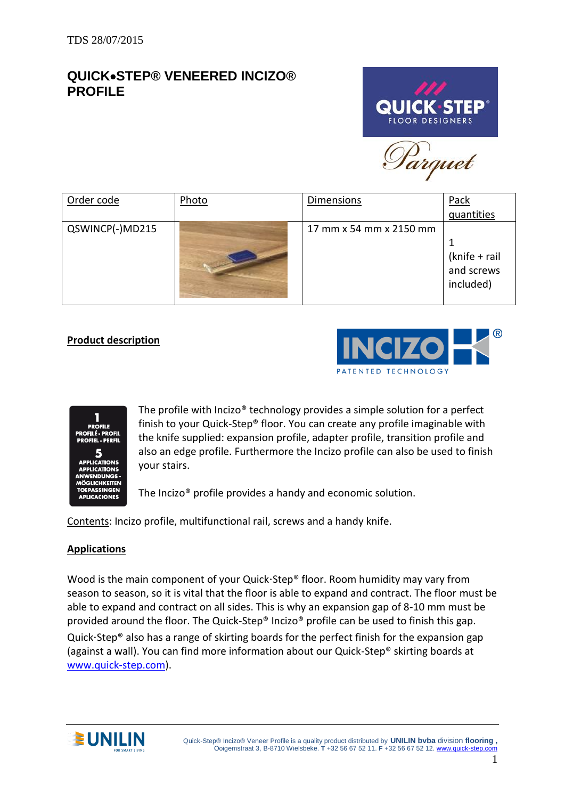# **QUICK**•**STEP® VENEERED INCIZO® PROFILE**



Parquet

| Order code      | Photo | <b>Dimensions</b>       | Pack<br>quantities                       |
|-----------------|-------|-------------------------|------------------------------------------|
| QSWINCP(-)MD215 |       | 17 mm x 54 mm x 2150 mm | (knife + rail<br>and screws<br>included) |

# **Product description**





The profile with Incizo® technology provides a simple solution for a perfect finish to your Quick-Step® floor. You can create any profile imaginable with the knife supplied: expansion profile, adapter profile, transition profile and also an edge profile. Furthermore the Incizo profile can also be used to finish your stairs.

The Incizo® profile provides a handy and economic solution.

Contents: Incizo profile, multifunctional rail, screws and a handy knife.

## **Applications**

Wood is the main component of your Quick $\cdot$ Step® floor. Room humidity may vary from season to season, so it is vital that the floor is able to expand and contract. The floor must be able to expand and contract on all sides. This is why an expansion gap of 8-10 mm must be provided around the floor. The Quick-Step® Incizo® profile can be used to finish this gap. Quick $\cdot$ Step® also has a range of skirting boards for the perfect finish for the expansion gap (against a wall). You can find more information about our Quick-Step® skirting boards at [www.quick-step.com\)](http://www.quick-step.com/).

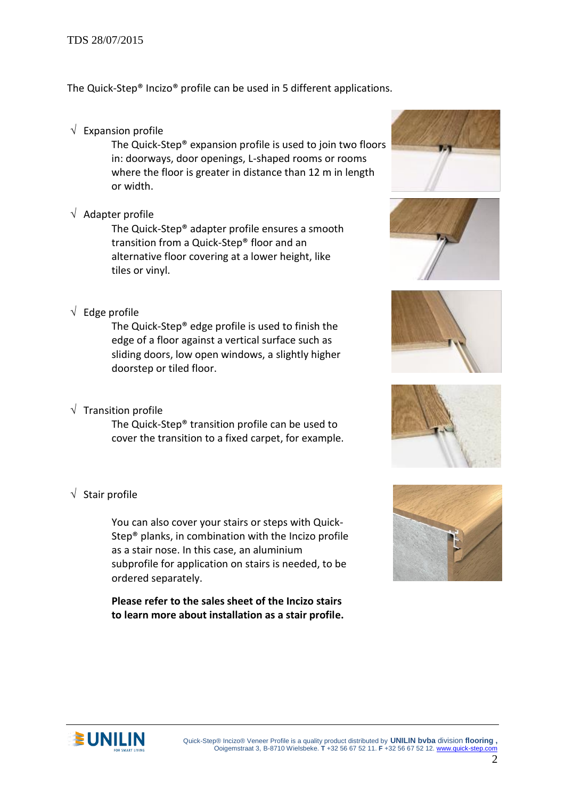#### TDS 28/07/2015

The Quick-Step® Incizo® profile can be used in 5 different applications.

 $\sqrt{\phantom{a}}$  Expansion profile

The Quick-Step® expansion profile is used to join two floors in: doorways, door openings, L-shaped rooms or rooms where the floor is greater in distance than 12 m in length or width.

 $\sqrt{\phantom{a}}$  Adapter profile

The Quick-Step® adapter profile ensures a smooth transition from a Quick-Step® floor and an alternative floor covering at a lower height, like tiles or vinyl.

 $\sqrt{\phantom{a}}$  Edge profile

The Quick-Step® edge profile is used to finish the edge of a floor against a vertical surface such as sliding doors, low open windows, a slightly higher doorstep or tiled floor.

 $\sqrt{\phantom{a}}$  Transition profile

The Quick-Step® transition profile can be used to cover the transition to a fixed carpet, for example.

 $\sqrt{\ }$  Stair profile

You can also cover your stairs or steps with Quick-Step® planks, in combination with the Incizo profile as a stair nose. In this case, an aluminium subprofile for application on stairs is needed, to be ordered separately.

**Please refer to the sales sheet of the Incizo stairs to learn more about installation as a stair profile.**











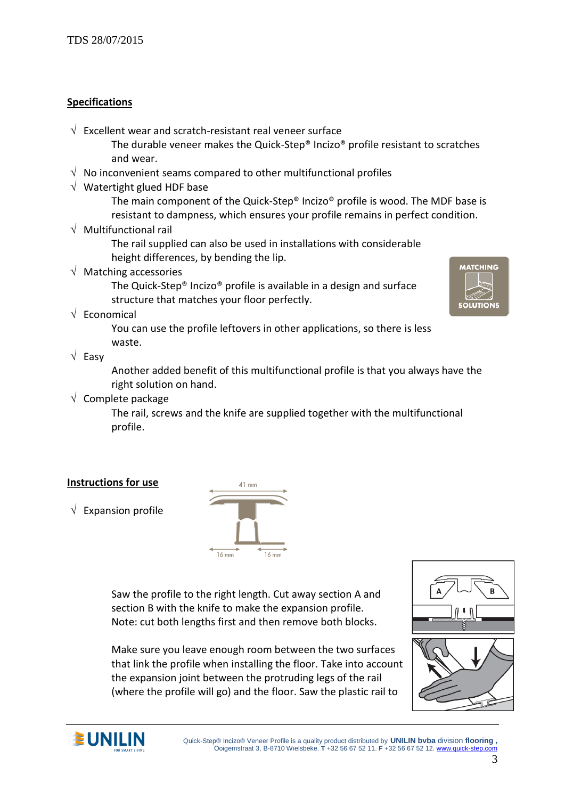#### **Specifications**

 $\sqrt{ }$  Excellent wear and scratch-resistant real veneer surface

The durable veneer makes the Quick-Step® Incizo® profile resistant to scratches and wear.

- $\sqrt{ }$  No inconvenient seams compared to other multifunctional profiles
- $\sqrt{ }$  Watertight glued HDF base

The main component of the Quick-Step® Incizo® profile is wood. The MDF base is resistant to dampness, which ensures your profile remains in perfect condition.

 $\sqrt{ }$  Multifunctional rail

The rail supplied can also be used in installations with considerable height differences, by bending the lip.

 $\sqrt{ }$  Matching accessories

The Quick-Step® Incizo® profile is available in a design and surface structure that matches your floor perfectly.

 $\sqrt{\ }$  Economical

You can use the profile leftovers in other applications, so there is less waste.

 $\sqrt{}$  Easy

Another added benefit of this multifunctional profile is that you always have the right solution on hand.

 $\sqrt{\phantom{a}}$  Complete package

The rail, screws and the knife are supplied together with the multifunctional profile.

## **Instructions for use**

 $\sqrt{\phantom{a}}$  Expansion profile



Saw the profile to the right length. Cut away section A and section B with the knife to make the expansion profile. Note: cut both lengths first and then remove both blocks.

Make sure you leave enough room between the two surfaces that link the profile when installing the floor. Take into account the expansion joint between the protruding legs of the rail (where the profile will go) and the floor. Saw the plastic rail to







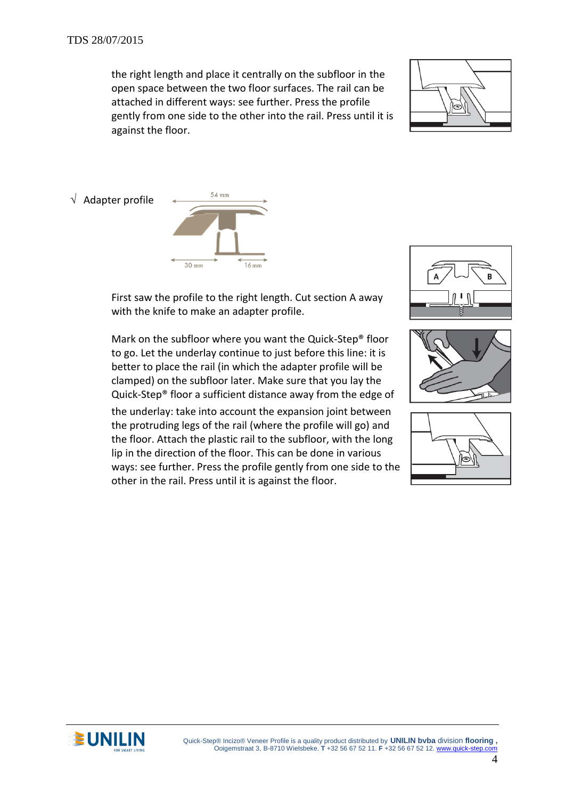the right length and place it centrally on the subfloor in the open space between the two floor surfaces. The rail can be attached in different ways: see further. Press the profile gently from one side to the other into the rail. Press until it is against the floor.



 $\sqrt{\phantom{a}}$  Adapter profile



First saw the profile to the right length. Cut section A away with the knife to make an adapter profile.

Mark on the subfloor where you want the Quick-Step® floor to go. Let the underlay continue to just before this line: it is better to place the rail (in which the adapter profile will be clamped) on the subfloor later. Make sure that you lay the Quick-Step® floor a sufficient distance away from the edge of

the underlay: take into account the expansion joint between the protruding legs of the rail (where the profile will go) and the floor. Attach the plastic rail to the subfloor, with the long lip in the direction of the floor. This can be done in various ways: see further. Press the profile gently from one side to the other in the rail. Press until it is against the floor.









**CONILIN** Quick-Step® Incizo® Veneer Profile is a quality product distributed by **UNILIN bvba** division flooring , Ooigemstraat 3, B-8710 Wielsbeke. **T** +32 56 67 52 11. **F** +32 56 67 52 12[. www.quick-step.com](http://www.unilin.com/)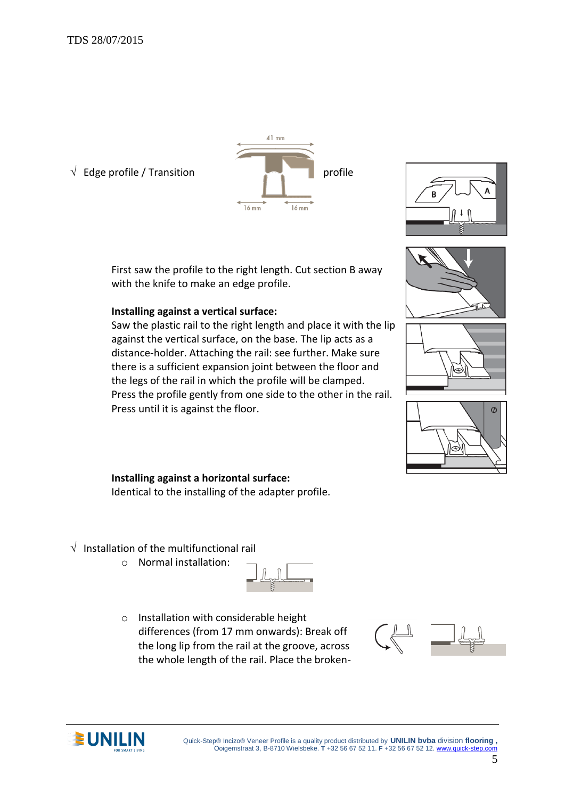

First saw the profile to the right length. Cut section B away with the knife to make an edge profile.

## **Installing against a vertical surface:**

Saw the plastic rail to the right length and place it with the lip against the vertical surface, on the base. The lip acts as a distance-holder. Attaching the rail: see further. Make sure there is a sufficient expansion joint between the floor and the legs of the rail in which the profile will be clamped. Press the profile gently from one side to the other in the rail. Press until it is against the floor.









#### **Installing against a horizontal surface:**

Identical to the installing of the adapter profile.

- $\sqrt{ }$  Installation of the multifunctional rail
	- o Normal installation:



o Installation with considerable height differences (from 17 mm onwards): Break off the long lip from the rail at the groove, across the whole length of the rail. Place the broken-